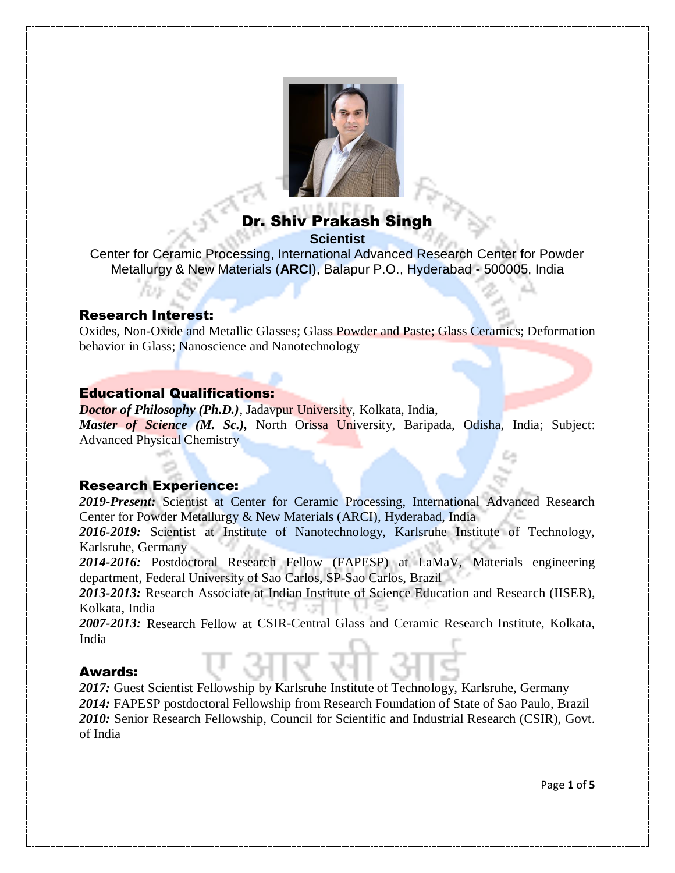

# Dr. Shiv Prakash Singh **Scientist**

Center for Ceramic Processing, International Advanced Research Center for Powder Metallurgy & New Materials (**ARCI**), Balapur P.O., Hyderabad - 500005, India

### Research Interest:

Oxides, Non-Oxide and Metallic Glasses; Glass Powder and Paste; Glass Ceramics; Deformation behavior in Glass; Nanoscience and Nanotechnology

### Educational Qualifications:

*Doctor of Philosophy (Ph.D.),* Jadavpur University, Kolkata, India, *Master of Science (M. Sc.),* North Orissa University, Baripada, Odisha, India; Subject: Advanced Physical Chemistry

## Research Experience:

*2019-Present:* Scientist at Center for Ceramic Processing, International Advanced Research Center for Powder Metallurgy & New Materials (ARCI), Hyderabad, India

*2016-2019:* Scientist at Institute of Nanotechnology, Karlsruhe Institute of Technology, Karlsruhe, Germany

*2014-2016:* Postdoctoral Research Fellow (FAPESP) at LaMaV, Materials engineering department, Federal University of Sao Carlos, SP-Sao Carlos, Brazil

*2013-2013:* Research Associate at Indian Institute of Science Education and Research (IISER), Kolkata, India

*2007-2013:* Research Fellow at CSIR-Central Glass and Ceramic Research Institute, Kolkata, India

### Awards:

2017: Guest Scientist Fellowship by Karlsruhe Institute of Technology, Karlsruhe, Germany *2014:* FAPESP postdoctoral Fellowship from Research Foundation of State of Sao Paulo, Brazil *2010:* Senior Research Fellowship, Council for Scientific and Industrial Research (CSIR), Govt. of India

Page **1** of **5**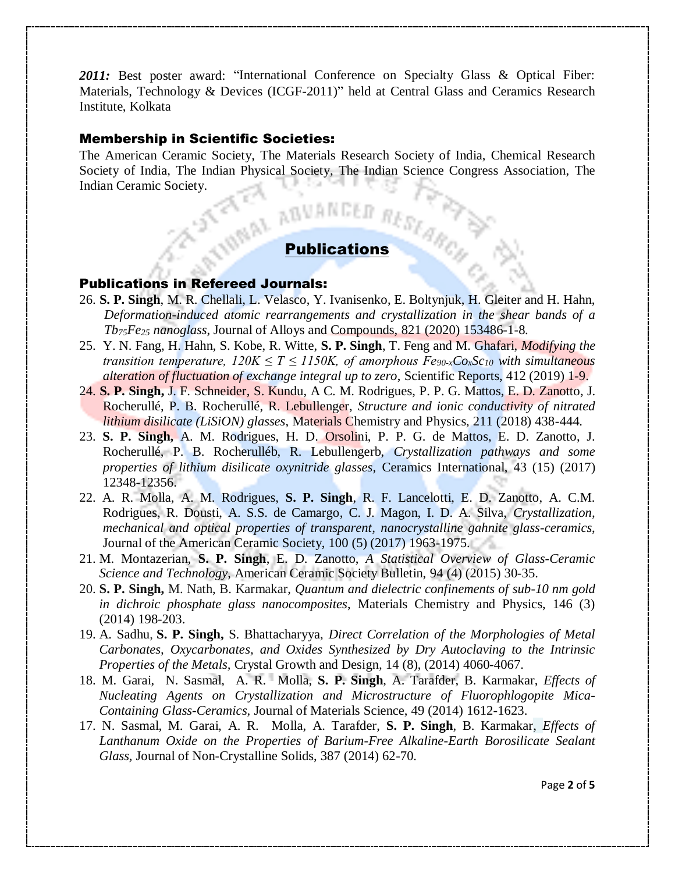2011: Best poster award: "International Conference on Specialty Glass & Optical Fiber: Materials, Technology & Devices (ICGF-2011)" held at Central Glass and Ceramics Research Institute, Kolkata

### Membership in Scientific Societies:

The American Ceramic Society, The Materials Research Society of India, Chemical Research Society of India, The Indian Physical Society, The Indian Science Congress Association, The Indian Ceramic Society. Publications (ARCA)

### Publications in Refereed Journals:

- 26. **S. P. Singh**, M. R. Chellali, L. Velasco, Y. Ivanisenko, E. Boltynjuk, H. Gleiter and H. Hahn, *Deformation-induced atomic rearrangements and crystallization in the shear bands of a Tb75Fe<sup>25</sup> nanoglass*, Journal of Alloys and Compounds, 821 (2020) 153486-1-8.
- 25. Y. N. Fang, H. Hahn, S. Kobe, R. Witte, **S. P. Singh**, T. Feng and M. Ghafari, *Modifying the transition temperature,*  $120K \leq T \leq 1150K$ *, of amorphous*  $Fe_{90-x}Co_xSc_{10}$  *with simultaneous alteration of fluctuation of exchange integral up to zero*, Scientific Reports, 412 (2019) 1-9.
- 24. **S. P. Singh,** J. [F. Schneider, S. Kundu, A](https://www.sciencedirect.com/science/article/pii/S0254058418301494#!) C. M. Rodrigues, P. P. G. [Mattos, E](https://www.sciencedirect.com/science/article/pii/S0254058418301494#!). D. Zanotto, J. Rocherullé, P. B. Rocherullé, R. Lebullenger, *Structure and ionic conductivity of nitrated lithium disilicate (LiSiON) glasses*, Materials Chemistry and Physics, 211 (2018) 438-444.
- 23. **S. P. Singh,** A. M. Rodrigues, H. D. Orsolini, P. P. G. de Mattos, E. D. Zanotto, J. Rocherullé, P. B. Rocherulléb, R. Lebullengerb, *Crystallization pathways and some properties of lithium disilicate oxynitride glasses,* Ceramics International, 43 (15) (2017) 12348-12356.
- 22. A. R. Molla, A. M. Rodrigues, **S. P. Singh**, R. F. Lancelotti, E. D. Zanotto, A. C.M. Rodrigues, R. Dousti, A. S.S. de Camargo, C. J. Magon, I. D. A. Silva, *Crystallization, mechanical and optical properties of transparent, nanocrystalline gahnite glass-ceramics*, Journal of the American Ceramic Society, 100 (5) (2017) 1963-1975.
- 21. M. Montazerian, **S. P. Singh**, E. D. Zanotto, *A Statistical Overview of Glass-Ceramic Science and Technology*, American Ceramic Society Bulletin, 94 (4) (2015) 30-35.
- 20. **S. P. Singh,** M. Nath, B. Karmakar, *Quantum and dielectric confinements of sub-10 nm gold in dichroic phosphate glass nanocomposites*, Materials Chemistry and Physics, 146 (3) (2014) 198-203.
- 19. A. Sadhu, **S. P. Singh,** S. Bhattacharyya, *Direct Correlation of the Morphologies of Metal Carbonates, Oxycarbonates, and Oxides Synthesized by Dry Autoclaving to the Intrinsic Properties of the Metals,* Crystal Growth and Design*,* 14 (8), (2014) 4060-4067.
- 18. M. Garai, N. Sasmal, A. R. Molla, **S. P. Singh**, A. Tarafder, B. Karmakar, *Effects of Nucleating Agents on Crystallization and Microstructure of Fluorophlogopite Mica-Containing Glass-Ceramics,* Journal of Materials Science, 49 (2014) 1612-1623.
- 17. N. Sasmal, M. Garai, A. R. Molla, A. Tarafder, **S. P. Singh**, B. Karmakar, *Effects of Lanthanum Oxide on the Properties of Barium-Free Alkaline-Earth Borosilicate Sealant Glass,* Journal of Non-Crystalline Solids, 387 (2014) 62-70.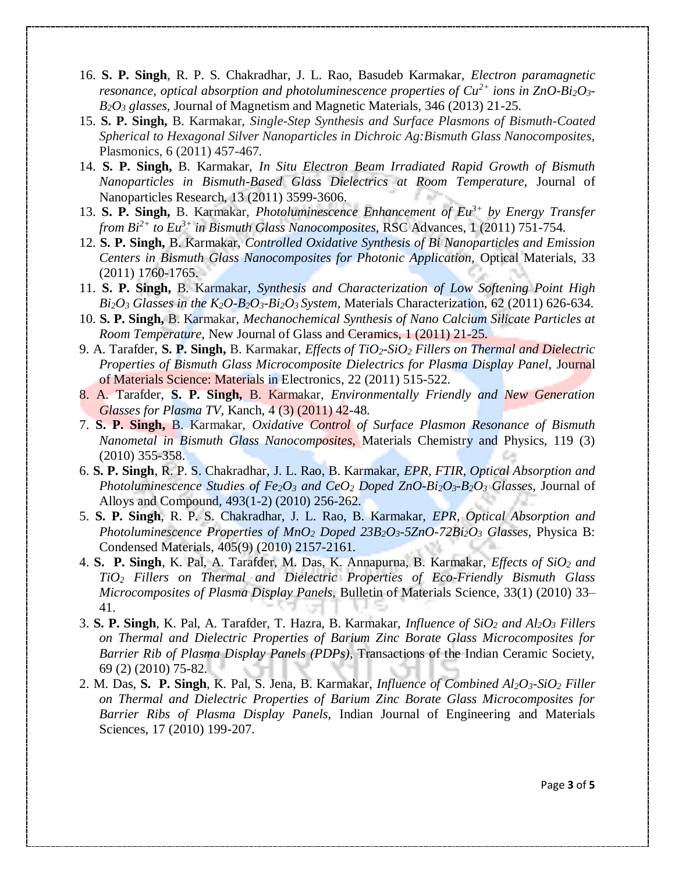- 16. **S. P. Singh**, R. P. S. Chakradhar, J. L. Rao, Basudeb Karmakar, *Electron paramagnetic resonance, optical absorption and photoluminescence properties of Cu2+ ions in ZnO-Bi2O3- B2O<sup>3</sup> glasses,* Journal of Magnetism and Magnetic Materials, 346 (2013) 21-25.
- 15. **S. P. Singh,** B. Karmakar, *Single-Step Synthesis and Surface Plasmons of Bismuth-Coated Spherical to Hexagonal Silver Nanoparticles in Dichroic Ag:Bismuth Glass Nanocomposites,*  Plasmonics, 6 (2011) 457-467.
- 14. **S. P. Singh,** B. Karmakar, *In Situ Electron Beam Irradiated Rapid Growth of Bismuth Nanoparticles in Bismuth-Based Glass Dielectrics at Room Temperature,* Journal of Nanoparticles Research, 13 (2011) 3599-3606.
- 13. **S. P. Singh,** B. Karmakar, *Photoluminescence Enhancement of Eu3+ by Energy Transfer from Bi2+ to Eu3+ in Bismuth Glass Nanocomposites,* RSC Advances, 1 (2011) 751-754.
- 12. **S. P. Singh,** B. Karmakar, *Controlled Oxidative Synthesis of Bi Nanoparticles and Emission Centers in Bismuth Glass Nanocomposites for Photonic Application,* Optical Materials, 33 (2011) 1760-1765.
- 11. **S. P. Singh,** B. Karmakar, *Synthesis and Characterization of Low Softening Point High*   $Bi<sub>2</sub>O<sub>3</sub>$  *Glasses in the K*<sub>2</sub> $O<sub>3</sub>B<sub>2</sub>O<sub>3</sub>$ *-Bi*<sub>2</sub> $O<sub>3</sub>$  *System, Materials Characterization, 62 (2011) 626-634.*
- 10. **S. P. Singh,** B. Karmakar, *Mechanochemical Synthesis of Nano Calcium Silicate Particles at Room Temperature,* New Journal of Glass and Ceramics, 1 (2011) 21-25.
- 9. A. Tarafder, **S. P. Singh,** B. Karmakar, *Effects of TiO2-SiO<sup>2</sup> Fillers on Thermal and Dielectric Properties of Bismuth Glass Microcomposite Dielectrics for Plasma Display Panel, Journal* of Materials Science: Materials in Electronics, 22 (2011) 515-522.
- 8. A. Tarafder, **S. P. Singh,** B. Karmakar, *Environmentally Friendly and New Generation Glasses for Plasma TV,* Kanch, 4 (3) (2011) 42-48.
- 7. **S. P. Singh,** B. Karmakar, *Oxidative Control of Surface Plasmon Resonance of Bismuth Nanometal in Bismuth Glass Nanocomposites,* Materials Chemistry and Physics, 119 (3) (2010) 355-358.
- 6. **S. P. Singh**, R. P. S. Chakradhar, J. L. Rao, B. Karmakar, *EPR, FTIR, Optical Absorption and Photoluminescence Studies of Fe2O<sup>3</sup> and CeO<sup>2</sup> Doped ZnO-Bi2O3-B2O<sup>3</sup> Glasses,* Journal of Alloys and Compound, 493(1-2) (2010) 256-262.
- 5. **S. P. Singh**, R. P. S. Chakradhar, J. L. Rao, B. Karmakar, *EPR, Optical Absorption and Photoluminescence Properties of MnO<sup>2</sup> Doped 23B2O3-5ZnO-72Bi2O<sup>3</sup> Glasses,* Physica B: Condensed Materials, 405(9) (2010) 2157-2161.
- 4. **S. P. Singh**, K. Pal, A. Tarafder, M. Das, K. Annapurna, B. Karmakar, *Effects of SiO<sup>2</sup> and TiO<sup>2</sup> Fillers on Thermal and Dielectric Properties of Eco-Friendly Bismuth Glass Microcomposites of Plasma Display Panels,* Bulletin of Materials Science, 33(1) (2010) 33– 41.
- 3. **S. P. Singh**, K. Pal, A. Tarafder, T. Hazra, B. Karmakar, *Influence of SiO<sup>2</sup> and Al2O<sup>3</sup> Fillers on Thermal and Dielectric Properties of Barium Zinc Borate Glass Microcomposites for Barrier Rib of Plasma Display Panels (PDPs),* Transactions of the Indian Ceramic Society, 69 (2) (2010) 75-82.
- 2. M. Das, **S. P. Singh**, K. Pal, S. Jena, B. Karmakar, *Influence of Combined Al2O3-SiO<sup>2</sup> Filler on Thermal and Dielectric Properties of Barium Zinc Borate Glass Microcomposites for Barrier Ribs of Plasma Display Panels,* Indian Journal of Engineering and Materials Sciences, 17 (2010) 199-207.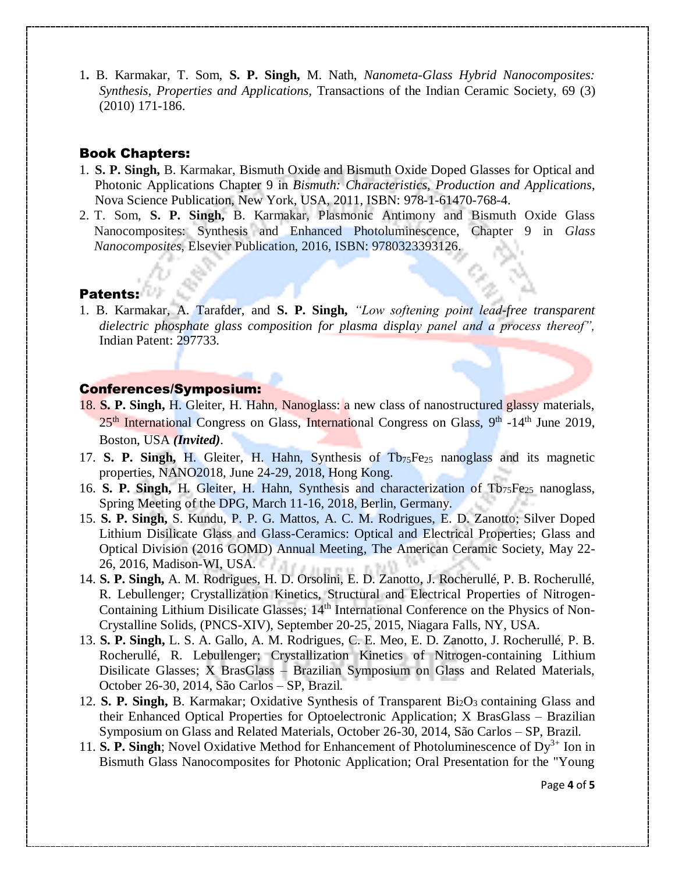1**.** B. Karmakar, T. Som, **S. P. Singh,** M. Nath, *Nanometa-Glass Hybrid Nanocomposites: Synthesis, Properties and Applications,* Transactions of the Indian Ceramic Society, 69 (3) (2010) 171-186.

### Book Chapters:

- 1. **S. P. Singh,** B. Karmakar, Bismuth Oxide and Bismuth Oxide Doped Glasses for Optical and Photonic Applications Chapter 9 in *Bismuth: Characteristics, Production and Applications*, Nova Science Publication, New York, USA, 2011, ISBN: 978-1-61470-768-4.
- 2. T. Som, **S. P. Singh,** B. Karmakar, Plasmonic Antimony and Bismuth Oxide Glass Nanocomposites: Synthesis and Enhanced Photoluminescence, Chapter 9 in *Glass Nanocomposites*, Elsevier Publication, 2016, ISBN: 9780323393126.

### Patents:

1. B. Karmakar, A. Tarafder, and **S. P. Singh,** *"Low softening point lead-free transparent dielectric phosphate glass composition for plasma display panel and a process thereof",* Indian Patent: 297733.

## Conferences/Symposium:

- 18. **S. P. Singh,** H. Gleiter, H. Hahn, Nanoglass: a new class of nanostructured glassy materials, 25<sup>th</sup> International Congress on Glass, International Congress on Glass, 9<sup>th</sup> -14<sup>th</sup> June 2019, Boston, USA *(Invited)*.
- 17. **S. P. Singh,** H. Gleiter, H. Hahn, Synthesis of Tb75Fe<sup>25</sup> nanoglass and its magnetic properties, NANO2018, June 24-29, 2018, Hong Kong.
- 16. **S. P. Singh, H. Gleiter, H. Hahn, Synthesis and characterization of Tb<sub>75</sub>Fe<sub>25</sub> nanoglass,** Spring Meeting of the DPG, March 11-16, 2018, Berlin, Germany.
- 15. **S. P. Singh,** S. Kundu, P. P. G. Mattos, A. C. M. Rodrigues, E. D. Zanotto; Silver Doped Lithium Disilicate Glass and Glass-Ceramics: Optical and Electrical Properties; Glass and Optical Division (2016 GOMD) Annual Meeting, The American Ceramic Society, May 22- 26, 2016, Madison-WI, USA.
- 14. **S. P. Singh,** A. M. Rodrigues, H. D. Orsolini, E. D. Zanotto, J. Rocherullé, P. B. Rocherullé, R. Lebullenger; Crystallization Kinetics, Structural and Electrical Properties of Nitrogen-Containing Lithium Disilicate Glasses; 14<sup>th</sup> International Conference on the Physics of Non-Crystalline Solids, (PNCS-XIV), September 20-25, 2015, Niagara Falls, NY, USA.
- 13. **S. P. Singh,** L. S. A. Gallo, A. M. Rodrigues, C. E. Meo, E. D. Zanotto, J. Rocherullé, P. B. Rocherullé, R. Lebullenger; Crystallization Kinetics of Nitrogen-containing Lithium Disilicate Glasses; X BrasGlass – Brazilian Symposium on Glass and Related Materials, October 26-30, 2014, São Carlos – SP, Brazil.
- 12. **S. P. Singh,** B. Karmakar; Oxidative Synthesis of Transparent Bi<sub>2</sub>O<sub>3</sub> containing Glass and their Enhanced Optical Properties for Optoelectronic Application; X BrasGlass – Brazilian Symposium on Glass and Related Materials, October 26-30, 2014, São Carlos – SP, Brazil.
- 11. **S. P. Singh**; Novel Oxidative Method for Enhancement of Photoluminescence of  $Dy^{3+}$  Ion in Bismuth Glass Nanocomposites for Photonic Application; Oral Presentation for the "Young